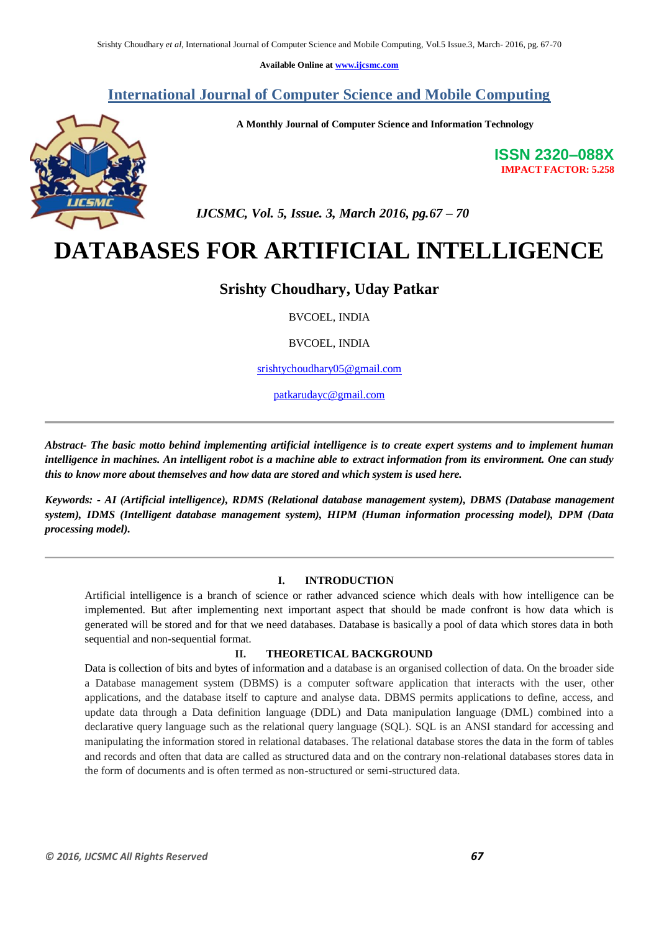**Available Online at www.ijcsmc.com**

# **International Journal of Computer Science and Mobile Computing**



**A Monthly Journal of Computer Science and Information Technology**

**ISSN 2320–088X IMPACT FACTOR: 5.258**

 *IJCSMC, Vol. 5, Issue. 3, March 2016, pg.67 – 70*

# **DATABASES FOR ARTIFICIAL INTELLIGENCE**

# **Srishty Choudhary, Uday Patkar**

BVCOEL, INDIA

BVCOEL, INDIA

srishtychoudhary05@gmail.com

patkarudayc@gmail.com

*Abstract- The basic motto behind implementing artificial intelligence is to create expert systems and to implement human intelligence in machines. An intelligent robot is a machine able to extract information from its environment. One can study this to know more about themselves and how data are stored and which system is used here.*

*Keywords: - AI (Artificial intelligence), RDMS (Relational database management system), DBMS (Database management system), IDMS (Intelligent database management system), HIPM (Human information processing model), DPM (Data processing model).*

#### **I. INTRODUCTION**

Artificial intelligence is a branch of science or rather advanced science which deals with how intelligence can be implemented. But after implementing next important aspect that should be made confront is how data which is generated will be stored and for that we need databases. Database is basically a pool of data which stores data in both sequential and non-sequential format.

## **II. THEORETICAL BACKGROUND**

Data is collection of bits and bytes of information and a database is an organised collection of data. On the broader side a Database management system (DBMS) is a computer software application that interacts with the user, other applications, and the database itself to capture and analyse data. DBMS permits applications to define, access, and update data through a Data definition language (DDL) and Data manipulation language (DML) combined into a declarative query language such as the relational query language (SQL). SQL is an ANSI standard for accessing and manipulating the information stored in relational databases. The relational database stores the data in the form of tables and records and often that data are called as structured data and on the contrary non-relational databases stores data in the form of documents and is often termed as non-structured or semi-structured data.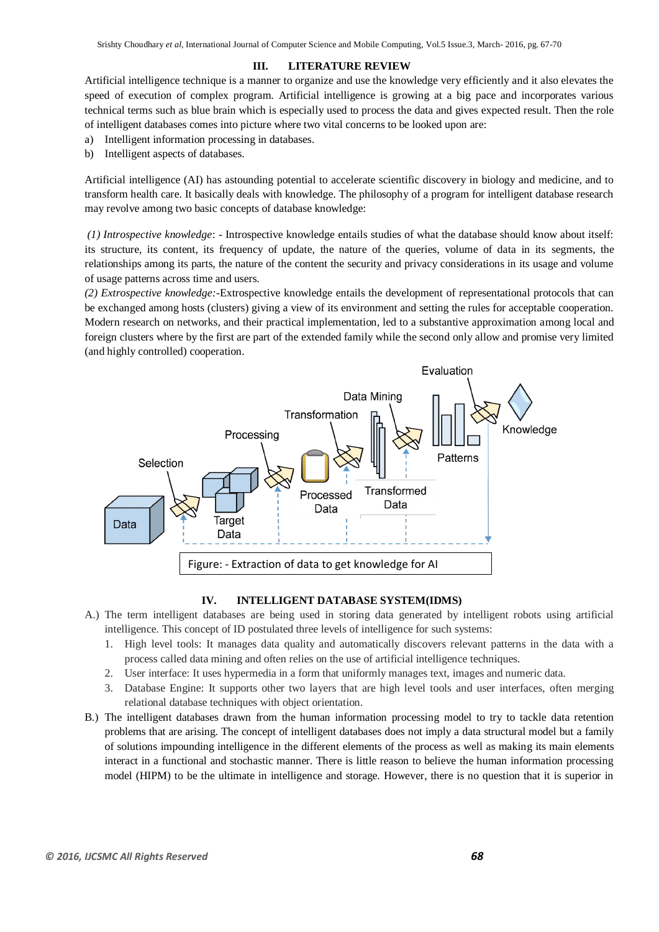## **III. LITERATURE REVIEW**

Artificial intelligence technique is a manner to organize and use the knowledge very efficiently and it also elevates the speed of execution of complex program. Artificial intelligence is growing at a big pace and incorporates various technical terms such as blue brain which is especially used to process the data and gives expected result. Then the role of intelligent databases comes into picture where two vital concerns to be looked upon are:

- a) Intelligent information processing in databases.
- b) Intelligent aspects of databases.

Artificial intelligence (AI) has astounding potential to accelerate scientific discovery in biology and medicine, and to transform health care. It basically deals with knowledge. The philosophy of a program for intelligent database research may revolve among two basic concepts of database knowledge:

*(1) Introspective knowledge*: - Introspective knowledge entails studies of what the database should know about itself: its structure, its content, its frequency of update, the nature of the queries, volume of data in its segments, the relationships among its parts, the nature of the content the security and privacy considerations in its usage and volume of usage patterns across time and users.

*(2) Extrospective knowledge:*-Extrospective knowledge entails the development of representational protocols that can be exchanged among hosts (clusters) giving a view of its environment and setting the rules for acceptable cooperation. Modern research on networks, and their practical implementation, led to a substantive approximation among local and foreign clusters where by the first are part of the extended family while the second only allow and promise very limited (and highly controlled) cooperation.



#### **IV. INTELLIGENT DATABASE SYSTEM(IDMS)**

- A.) The term intelligent databases are being used in storing data generated by intelligent robots using artificial intelligence. This concept of ID postulated three levels of intelligence for such systems:
	- 1. High level tools: It manages data quality and automatically discovers relevant patterns in the data with a process called data mining and often relies on the use of artificial intelligence techniques.
	- 2. User interface: It uses hypermedia in a form that uniformly manages text, images and numeric data.
	- 3. Database Engine: It supports other two layers that are high level tools and user interfaces, often merging relational database techniques with object orientation.
- B.) The intelligent databases drawn from the human information processing model to try to tackle data retention problems that are arising. The concept of intelligent databases does not imply a data structural model but a family of solutions impounding intelligence in the different elements of the process as well as making its main elements interact in a functional and stochastic manner. There is little reason to believe the human information processing model (HIPM) to be the ultimate in intelligence and storage. However, there is no question that it is superior in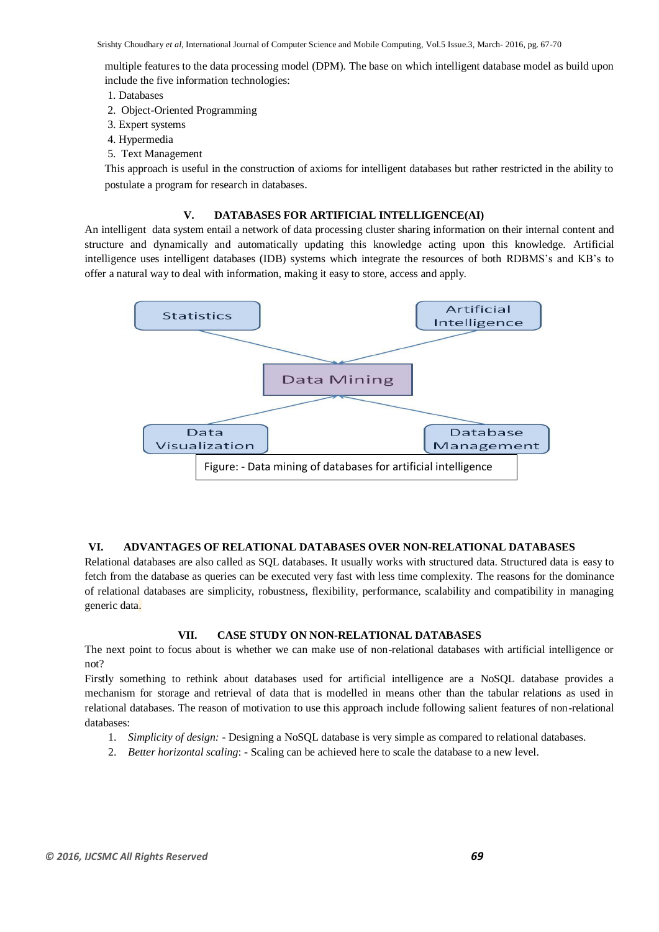multiple features to the data processing model (DPM). The base on which intelligent database model as build upon include the five information technologies:

- 1. Databases
- 2. Object-Oriented Programming
- 3. Expert systems
- 4. Hypermedia
- 5. Text Management

This approach is useful in the construction of axioms for intelligent databases but rather restricted in the ability to postulate a program for research in databases.

# **V. DATABASES FOR ARTIFICIAL INTELLIGENCE(AI)**

An intelligent data system entail a network of data processing cluster sharing information on their internal content and structure and dynamically and automatically updating this knowledge acting upon this knowledge. Artificial intelligence uses intelligent databases (IDB) systems which integrate the resources of both RDBMS's and KB's to offer a natural way to deal with information, making it easy to store, access and apply.



# **VI. ADVANTAGES OF RELATIONAL DATABASES OVER NON-RELATIONAL DATABASES**

Relational databases are also called as SQL databases. It usually works with structured data. Structured data is easy to fetch from the database as queries can be executed very fast with less time complexity. The reasons for the dominance of relational databases are simplicity, robustness, flexibility, performance, scalability and compatibility in managing generic data.

# **VII. CASE STUDY ON NON-RELATIONAL DATABASES**

The next point to focus about is whether we can make use of non-relational databases with artificial intelligence or not?

Firstly something to rethink about databases used for artificial intelligence are a NoSQL database provides a mechanism for storage and retrieval of data that is modelled in means other than the tabular relations as used in relational databases. The reason of motivation to use this approach include following salient features of non-relational databases:

- 1. *Simplicity of design:* Designing a NoSQL database is very simple as compared to relational databases.
- 2. *Better horizontal scaling*: Scaling can be achieved here to scale the database to a new level.